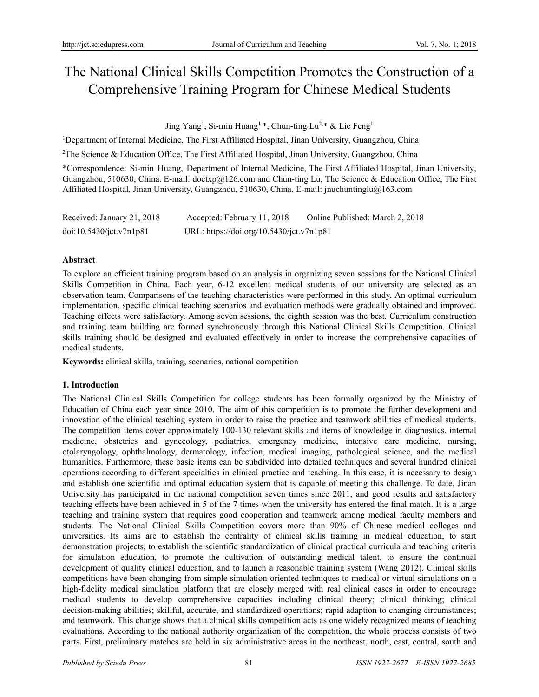# The National Clinical Skills Competition Promotes the Construction of a Comprehensive Training Program for Chinese Medical Students

Jing Yang<sup>1</sup>, Si-min Huang<sup>1,\*</sup>, Chun-ting Lu<sup>2,\*</sup> & Lie Feng<sup>1</sup>

<sup>1</sup>Department of Internal Medicine, The First Affiliated Hospital, Jinan University, Guangzhou, China

<sup>2</sup>The Science & Education Office, The First Affiliated Hospital, Jinan University, Guangzhou, China

\*Correspondence: Si-min Huang, Department of Internal Medicine, The First Affiliated Hospital, Jinan University, Guangzhou, 510630, China. E-mail: doctxp@126.com and Chun-ting Lu, The Science & Education Office, The First Affiliated Hospital, Jinan University, Guangzhou, 510630, China. E-mail: jnuchuntinglu@163.com

| Received: January 21, 2018 | Accepted: February 11, 2018              | Online Published: March 2, 2018 |
|----------------------------|------------------------------------------|---------------------------------|
| doi:10.5430/ict.v7n1p81    | URL: https://doi.org/10.5430/jct.v7n1p81 |                                 |

# **Abstract**

To explore an efficient training program based on an analysis in organizing seven sessions for the National Clinical Skills Competition in China. Each year, 6-12 excellent medical students of our university are selected as an observation team. Comparisons of the teaching characteristics were performed in this study. An optimal curriculum implementation, specific clinical teaching scenarios and evaluation methods were gradually obtained and improved. Teaching effects were satisfactory. Among seven sessions, the eighth session was the best. Curriculum construction and training team building are formed synchronously through this National Clinical Skills Competition. Clinical skills training should be designed and evaluated effectively in order to increase the comprehensive capacities of medical students.

**Keywords:** clinical skills, training, scenarios, national competition

# **1. Introduction**

The National Clinical Skills Competition for college students has been formally organized by the Ministry of Education of China each year since 2010. The aim of this competition is to promote the further development and innovation of the clinical teaching system in order to raise the practice and teamwork abilities of medical students. The competition items cover approximately 100-130 relevant skills and items of knowledge in diagnostics, internal medicine, obstetrics and gynecology, pediatrics, emergency medicine, intensive care medicine, nursing, otolaryngology, ophthalmology, dermatology, infection, medical imaging, pathological science, and the medical humanities. Furthermore, these basic items can be subdivided into detailed techniques and several hundred clinical operations according to different specialties in clinical practice and teaching. In this case, it is necessary to design and establish one scientific and optimal education system that is capable of meeting this challenge. To date, Jinan University has participated in the national competition seven times since 2011, and good results and satisfactory teaching effects have been achieved in 5 of the 7 times when the university has entered the final match. It is a large teaching and training system that requires good cooperation and teamwork among medical faculty members and students. The National Clinical Skills Competition covers more than 90% of Chinese medical colleges and universities. Its aims are to establish the centrality of clinical skills training in medical education, to start demonstration projects, to establish the scientific standardization of clinical practical curricula and teaching criteria for simulation education, to promote the cultivation of outstanding medical talent, to ensure the continual development of quality clinical education, and to launch a reasonable training system (Wang 2012). Clinical skills competitions have been changing from simple simulation-oriented techniques to medical or virtual simulations on a high-fidelity medical simulation platform that are closely merged with real clinical cases in order to encourage medical students to develop comprehensive capacities including clinical theory; clinical thinking; clinical decision-making abilities; skillful, accurate, and standardized operations; rapid adaption to changing circumstances; and teamwork. This change shows that a clinical skills competition acts as one widely recognized means of teaching evaluations. According to the national authority organization of the competition, the whole process consists of two parts. First, preliminary matches are held in six administrative areas in the northeast, north, east, central, south and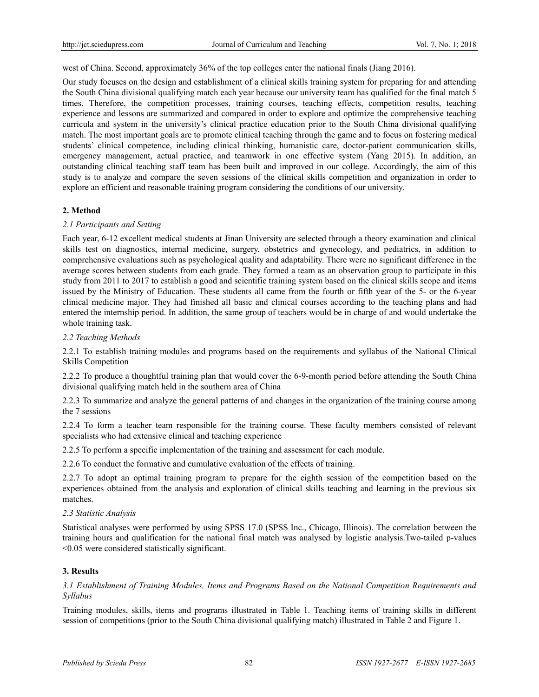west of China. Second, approximately 36% of the top colleges enter the national finals (Jiang 2016).

Our study focuses on the design and establishment of a clinical skills training system for preparing for and attending the South China divisional qualifying match each year because our university team has qualified for the final match 5 times. Therefore, the competition processes, training courses, teaching effects, competition results, teaching experience and lessons are summarized and compared in order to explore and optimize the comprehensive teaching curricula and system in the university's clinical practice education prior to the South China divisional qualifying match. The most important goals are to promote clinical teaching through the game and to focus on fostering medical students' clinical competence, including clinical thinking, humanistic care, doctor-patient communication skills, emergency management, actual practice, and teamwork in one effective system (Yang 2015). In addition, an outstanding clinical teaching staff team has been built and improved in our college. Accordingly, the aim of this study is to analyze and compare the seven sessions of the clinical skills competition and organization in order to explore an efficient and reasonable training program considering the conditions of our university.

# **2. Method**

# *2.1 Participants and Setting*

Each year, 6-12 excellent medical students at Jinan University are selected through a theory examination and clinical skills test on diagnostics, internal medicine, surgery, obstetrics and gynecology, and pediatrics, in addition to comprehensive evaluations such as psychological quality and adaptability. There were no significant difference in the average scores between students from each grade. They formed a team as an observation group to participate in this study from 2011 to 2017 to establish a good and scientific training system based on the clinical skills scope and items issued by the Ministry of Education. These students all came from the fourth or fifth year of the 5- or the 6-year clinical medicine major. They had finished all basic and clinical courses according to the teaching plans and had entered the internship period. In addition, the same group of teachers would be in charge of and would undertake the whole training task.

*2.2 Teaching Methods* 

2.2.1 To establish training modules and programs based on the requirements and syllabus of the National Clinical Skills Competition

2.2.2 To produce a thoughtful training plan that would cover the 6-9-month period before attending the South China divisional qualifying match held in the southern area of China

2.2.3 To summarize and analyze the general patterns of and changes in the organization of the training course among the 7 sessions

2.2.4 To form a teacher team responsible for the training course. These faculty members consisted of relevant specialists who had extensive clinical and teaching experience

2.2.5 To perform a specific implementation of the training and assessment for each module.

2.2.6 To conduct the formative and cumulative evaluation of the effects of training.

2.2.7 To adopt an optimal training program to prepare for the eighth session of the competition based on the experiences obtained from the analysis and exploration of clinical skills teaching and learning in the previous six matches.

#### *2.3 Statistic Analysis*

Statistical analyses were performed by using SPSS 17.0 (SPSS Inc., Chicago, Illinois). The correlation between the training hours and qualification for the national final match was analysed by logistic analysis.Two-tailed p-values <0.05 were considered statistically significant.

# **3. Results**

*3.1 Establishment of Training Modules, Items and Programs Based on the National Competition Requirements and Syllabus* 

Training modules, skills, items and programs illustrated in Table 1. Teaching items of training skills in different session of competitions (prior to the South China divisional qualifying match) illustrated in Table 2 and Figure 1.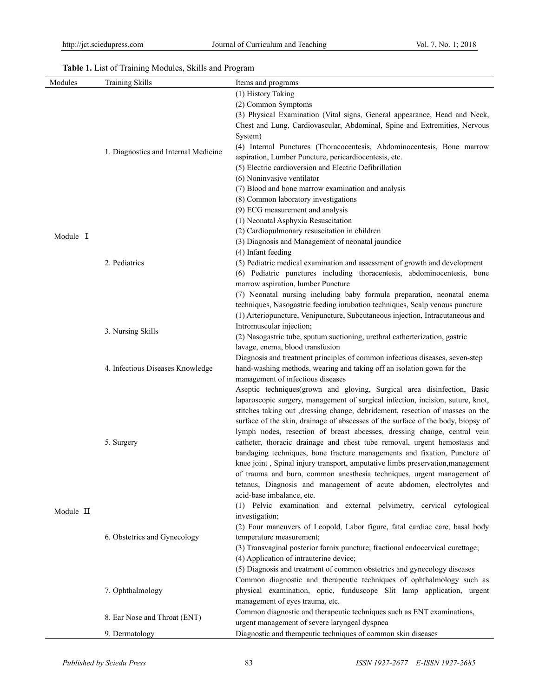# **Table 1.** List of Training Modules, Skills and Program

| Modules      | <b>Training Skills</b>               | Items and programs                                                               |  |  |  |  |
|--------------|--------------------------------------|----------------------------------------------------------------------------------|--|--|--|--|
|              |                                      | (1) History Taking                                                               |  |  |  |  |
|              |                                      | (2) Common Symptoms                                                              |  |  |  |  |
|              |                                      | (3) Physical Examination (Vital signs, General appearance, Head and Neck,        |  |  |  |  |
|              |                                      | Chest and Lung, Cardiovascular, Abdominal, Spine and Extremities, Nervous        |  |  |  |  |
|              |                                      | System)                                                                          |  |  |  |  |
|              |                                      | (4) Internal Punctures (Thoracocentesis, Abdominocentesis, Bone marrow           |  |  |  |  |
|              | 1. Diagnostics and Internal Medicine | aspiration, Lumber Puncture, pericardiocentesis, etc.                            |  |  |  |  |
|              |                                      | (5) Electric cardioversion and Electric Defibrillation                           |  |  |  |  |
|              |                                      | (6) Noninvasive ventilator                                                       |  |  |  |  |
|              |                                      | (7) Blood and bone marrow examination and analysis                               |  |  |  |  |
|              |                                      | (8) Common laboratory investigations                                             |  |  |  |  |
|              |                                      | (9) ECG measurement and analysis                                                 |  |  |  |  |
|              |                                      | (1) Neonatal Asphyxia Resuscitation                                              |  |  |  |  |
|              |                                      | (2) Cardiopulmonary resuscitation in children                                    |  |  |  |  |
| Module I     |                                      | (3) Diagnosis and Management of neonatal jaundice                                |  |  |  |  |
|              |                                      | (4) Infant feeding                                                               |  |  |  |  |
|              | 2. Pediatrics                        | (5) Pediatric medical examination and assessment of growth and development       |  |  |  |  |
|              |                                      | (6) Pediatric punctures including thoracentesis, abdominocentesis, bone          |  |  |  |  |
|              |                                      | marrow aspiration, lumber Puncture                                               |  |  |  |  |
|              |                                      | (7) Neonatal nursing including baby formula preparation, neonatal enema          |  |  |  |  |
|              |                                      | techniques, Nasogastric feeding intubation techniques, Scalp venous puncture     |  |  |  |  |
|              |                                      | (1) Arteriopuncture, Venipuncture, Subcutaneous injection, Intracutaneous and    |  |  |  |  |
|              |                                      | Intromuscular injection;                                                         |  |  |  |  |
|              | 3. Nursing Skills                    | (2) Nasogastric tube, sputum suctioning, urethral catherterization, gastric      |  |  |  |  |
|              |                                      | lavage, enema, blood transfusion                                                 |  |  |  |  |
|              |                                      | Diagnosis and treatment principles of common infectious diseases, seven-step     |  |  |  |  |
|              | 4. Infectious Diseases Knowledge     | hand-washing methods, wearing and taking off an isolation gown for the           |  |  |  |  |
|              |                                      | management of infectious diseases                                                |  |  |  |  |
|              |                                      | Aseptic techniques(grown and gloving, Surgical area disinfection, Basic          |  |  |  |  |
|              |                                      | laparoscopic surgery, management of surgical infection, incision, suture, knot,  |  |  |  |  |
|              |                                      | stitches taking out , dressing change, debridement, resection of masses on the   |  |  |  |  |
|              |                                      | surface of the skin, drainage of abscesses of the surface of the body, biopsy of |  |  |  |  |
|              |                                      | lymph nodes, resection of breast abcesses, dressing change, central vein         |  |  |  |  |
|              | 5. Surgery                           | catheter, thoracic drainage and chest tube removal, urgent hemostasis and        |  |  |  |  |
|              |                                      | bandaging techniques, bone fracture managements and fixation, Puncture of        |  |  |  |  |
|              |                                      | knee joint, Spinal injury transport, amputative limbs preservation, management   |  |  |  |  |
|              |                                      | of trauma and burn, common anesthesia techniques, urgent management of           |  |  |  |  |
|              |                                      | tetanus, Diagnosis and management of acute abdomen, electrolytes and             |  |  |  |  |
|              |                                      | acid-base imbalance, etc.                                                        |  |  |  |  |
|              |                                      | (1) Pelvic examination and external pelvimetry, cervical cytological             |  |  |  |  |
| Module $\Pi$ |                                      | investigation;                                                                   |  |  |  |  |
|              |                                      | (2) Four maneuvers of Leopold, Labor figure, fatal cardiac care, basal body      |  |  |  |  |
|              | 6. Obstetrics and Gynecology         | temperature measurement;                                                         |  |  |  |  |
|              |                                      | (3) Transvaginal posterior fornix puncture; fractional endocervical curettage;   |  |  |  |  |
|              |                                      | (4) Application of intrauterine device;                                          |  |  |  |  |
|              |                                      | (5) Diagnosis and treatment of common obstetrics and gynecology diseases         |  |  |  |  |
|              |                                      | Common diagnostic and therapeutic techniques of ophthalmology such as            |  |  |  |  |
|              | 7. Ophthalmology                     | physical examination, optic, funduscope Slit lamp application, urgent            |  |  |  |  |
|              |                                      | management of eyes trauma, etc.                                                  |  |  |  |  |
|              |                                      | Common diagnostic and therapeutic techniques such as ENT examinations,           |  |  |  |  |
|              | 8. Ear Nose and Throat (ENT)         | urgent management of severe laryngeal dyspnea                                    |  |  |  |  |
|              | 9. Dermatology                       | Diagnostic and therapeutic techniques of common skin diseases                    |  |  |  |  |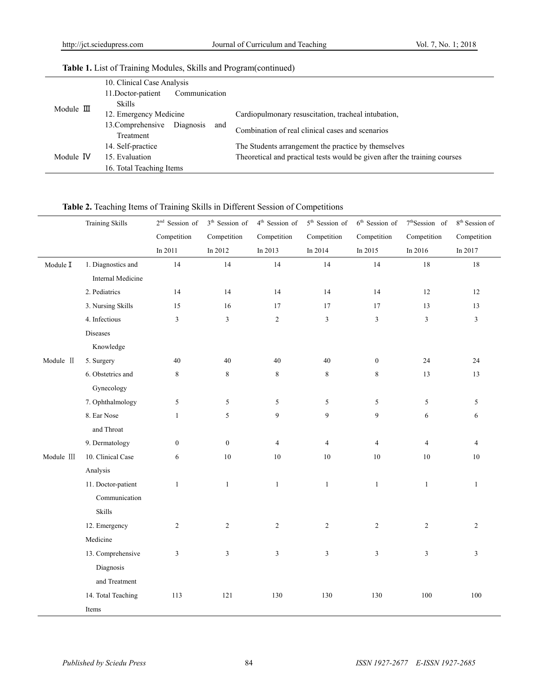# **Table 1.** List of Training Modules, Skills and Program(continued)

|                     | 10. Clinical Case Analysis            |                                                                           |
|---------------------|---------------------------------------|---------------------------------------------------------------------------|
| Module $\mathbf{I}$ | 11. Doctor-patient<br>Communication   |                                                                           |
|                     | <b>Skills</b>                         |                                                                           |
|                     | 12. Emergency Medicine                | Cardiopulmonary resuscitation, tracheal intubation,                       |
|                     | 13. Comprehensive<br>Diagnosis<br>and | Combination of real clinical cases and scenarios                          |
|                     | Treatment                             |                                                                           |
|                     | 14. Self-practice                     | The Students arrangement the practice by themselves                       |
| Module IV           | 15. Evaluation                        | Theoretical and practical tests would be given after the training courses |
|                     | 16. Total Teaching Items              |                                                                           |

# **Table 2.** Teaching Items of Training Skills in Different Session of Competitions

|            | <b>Training Skills</b>                  | 2 <sup>nd</sup> Session of | 3 <sup>th</sup> Session of | 4 <sup>th</sup> Session of | 5 <sup>th</sup> Session of | 6 <sup>th</sup> Session of | 7 <sup>th</sup> Session of | 8 <sup>th</sup> Session of |
|------------|-----------------------------------------|----------------------------|----------------------------|----------------------------|----------------------------|----------------------------|----------------------------|----------------------------|
|            |                                         | Competition                | Competition                | Competition                | Competition                | Competition                | Competition                | Competition                |
|            |                                         | In $2011$                  | In $2012$                  | In 2013                    | In 2014                    | In 2015                    | In $2016$                  | In 2017                    |
| Module I   | 1. Diagnostics and<br>Internal Medicine | 14                         | 14                         | 14                         | 14                         | 14                         | 18                         | $18\,$                     |
|            | 2. Pediatrics                           | 14                         | 14                         | 14                         | 14                         | 14                         | 12                         | 12                         |
|            | 3. Nursing Skills                       | 15                         | 16                         | 17                         | 17                         | 17                         | 13                         | 13                         |
|            | 4. Infectious                           | $\overline{3}$             | $\overline{3}$             | $\overline{2}$             | $\overline{3}$             | $\overline{3}$             | $\overline{3}$             | $\overline{3}$             |
|            | Diseases                                |                            |                            |                            |                            |                            |                            |                            |
|            | Knowledge                               |                            |                            |                            |                            |                            |                            |                            |
| Module II  | 5. Surgery                              | 40                         | 40                         | 40                         | 40                         | $\boldsymbol{0}$           | 24                         | 24                         |
|            | 6. Obstetrics and                       | $\,$ 8 $\,$                | $\,$ 8 $\,$                | $\,$ 8 $\,$                | 8                          | $\,$ 8 $\,$                | 13                         | 13                         |
|            | Gynecology                              |                            |                            |                            |                            |                            |                            |                            |
|            | 7. Ophthalmology                        | 5                          | 5                          | 5                          | 5                          | 5                          | 5                          | 5                          |
|            | 8. Ear Nose<br>and Throat               | $\,1\,$                    | 5                          | 9                          | 9                          | $\mathbf{9}$               | $\sqrt{6}$                 | $\sqrt{6}$                 |
|            | 9. Dermatology                          | $\boldsymbol{0}$           | $\boldsymbol{0}$           | $\overline{4}$             | $\overline{4}$             | $\overline{4}$             | $\overline{4}$             | $\overline{4}$             |
| Module III | 10. Clinical Case                       | 6                          | 10                         | $10\,$                     | $10\,$                     | 10                         | $10\,$                     | 10                         |
|            | Analysis                                |                            |                            |                            |                            |                            |                            |                            |
|            | 11. Doctor-patient                      | $\mathbf{1}$               | $\mathbf{1}$               | $\mathbf{1}$               | $\mathbf{1}$               | $\mathbf{1}$               | $\mathbf{1}$               | $\mathbf{1}$               |
|            | Communication                           |                            |                            |                            |                            |                            |                            |                            |
|            | Skills                                  |                            |                            |                            |                            |                            |                            |                            |
|            | 12. Emergency                           | $\overline{2}$             | $\overline{c}$             | $\overline{c}$             | $\overline{2}$             | $\overline{2}$             | $\overline{2}$             | $\sqrt{2}$                 |
|            | Medicine                                |                            |                            |                            |                            |                            |                            |                            |
|            | 13. Comprehensive                       | $\mathfrak z$              | $\mathfrak{Z}$             | 3                          | $\mathfrak z$              | $\mathfrak z$              | $\mathfrak z$              | $\overline{3}$             |
|            | Diagnosis                               |                            |                            |                            |                            |                            |                            |                            |
|            | and Treatment                           |                            |                            |                            |                            |                            |                            |                            |
|            | 14. Total Teaching                      | 113                        | 121                        | 130                        | 130                        | 130                        | 100                        | 100                        |
|            | Items                                   |                            |                            |                            |                            |                            |                            |                            |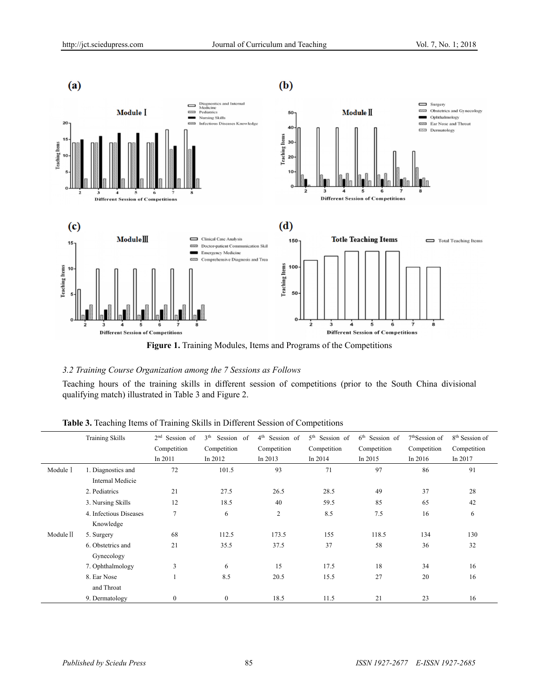

**Figure 1.** Training Modules, Items and Programs of the Competitions

### *3.2 Training Course Organization among the 7 Sessions as Follows*

Teaching hours of the training skills in different session of competitions (prior to the South China divisional qualifying match) illustrated in Table 3 and Figure 2.

|           | <b>Training Skills</b>  | $2nd$ Session of | 3 <sup>th</sup><br>Session of | 4 <sup>th</sup> Session of | 5 <sup>th</sup> Session of | $6th$ Session of | 7 <sup>th</sup> Session of | 8 <sup>th</sup> Session of |
|-----------|-------------------------|------------------|-------------------------------|----------------------------|----------------------------|------------------|----------------------------|----------------------------|
|           |                         | Competition      | Competition                   | Competition                | Competition                | Competition      | Competition                | Competition                |
|           |                         | In 2011          | In 2012                       | In 2013                    | In $2014$                  | In 2015          | In $2016$                  | In 2017                    |
| Module I  | 1. Diagnostics and      | 72               | 101.5                         | 93                         | 71                         | 97               | 86                         | 91                         |
|           | <b>Internal Medicie</b> |                  |                               |                            |                            |                  |                            |                            |
|           | 2. Pediatrics           | 21               | 27.5                          | 26.5                       | 28.5                       | 49               | 37                         | 28                         |
|           | 3. Nursing Skills       | 12               | 18.5                          | 40                         | 59.5                       | 85               | 65                         | 42                         |
|           | 4. Infectious Diseases  | $\overline{7}$   | 6                             | $\mathbf{2}$               | 8.5                        | 7.5              | 16                         | 6                          |
|           | Knowledge               |                  |                               |                            |                            |                  |                            |                            |
| Module II | 5. Surgery              | 68               | 112.5                         | 173.5                      | 155                        | 118.5            | 134                        | 130                        |
|           | 6. Obstetrics and       | 21               | 35.5                          | 37.5                       | 37                         | 58               | 36                         | 32                         |
|           | Gynecology              |                  |                               |                            |                            |                  |                            |                            |
|           | 7. Ophthalmology        | 3                | 6                             | 15                         | 17.5                       | 18               | 34                         | 16                         |
|           | 8. Ear Nose             |                  | 8.5                           | 20.5                       | 15.5                       | 27               | 20                         | 16                         |
|           | and Throat              |                  |                               |                            |                            |                  |                            |                            |
|           | 9. Dermatology          | $\mathbf{0}$     | $\mathbf{0}$                  | 18.5                       | 11.5                       | 21               | 23                         | 16                         |

**Table 3.** Teaching Items of Training Skills in Different Session of Competitions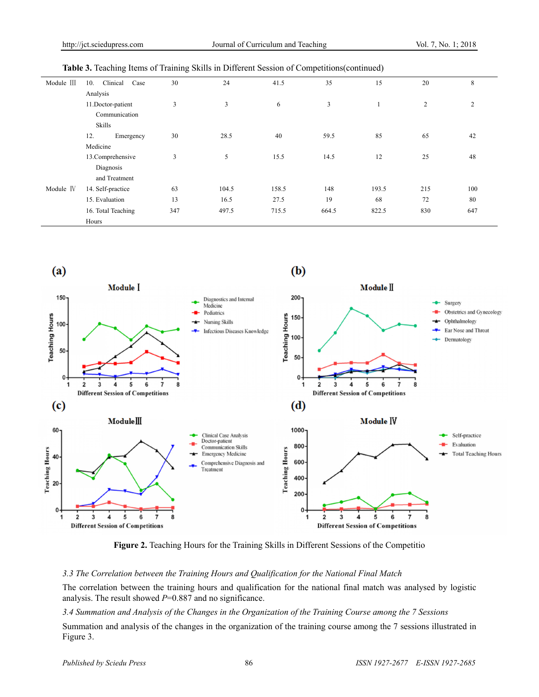| Module III | Clinical<br>10.<br>Case | 30             | 24             | 41.5  | 35    | 15           | 20  | 8              |
|------------|-------------------------|----------------|----------------|-------|-------|--------------|-----|----------------|
|            | Analysis                |                |                |       |       |              |     |                |
|            | 11.Doctor-patient       | 3              | $\mathfrak{Z}$ | 6     | 3     | $\mathbf{1}$ | 2   | $\overline{2}$ |
|            | Communication           |                |                |       |       |              |     |                |
|            | Skills                  |                |                |       |       |              |     |                |
|            | 12.<br>Emergency        | 30             | 28.5           | 40    | 59.5  | 85           | 65  | 42             |
|            | Medicine                |                |                |       |       |              |     |                |
|            | 13. Comprehensive       | $\overline{3}$ | 5              | 15.5  | 14.5  | 12           | 25  | 48             |
|            | Diagnosis               |                |                |       |       |              |     |                |
|            | and Treatment           |                |                |       |       |              |     |                |
| Module IV  | 14. Self-practice       | 63             | 104.5          | 158.5 | 148   | 193.5        | 215 | 100            |
|            | 15. Evaluation          | 13             | 16.5           | 27.5  | 19    | 68           | 72  | 80             |
|            | 16. Total Teaching      | 347            | 497.5          | 715.5 | 664.5 | 822.5        | 830 | 647            |
|            | Hours                   |                |                |       |       |              |     |                |



**Figure 2.** Teaching Hours for the Training Skills in Different Sessions of the Competitio

#### *3.3 The Correlation between the Training Hours and Qualification for the National Final Match*

The correlation between the training hours and qualification for the national final match was analysed by logistic analysis. The result showed *P*=0.887 and no significance.

*3.4 Summation and Analysis of the Changes in the Organization of the Training Course among the 7 Sessions* 

Summation and analysis of the changes in the organization of the training course among the 7 sessions illustrated in Figure 3.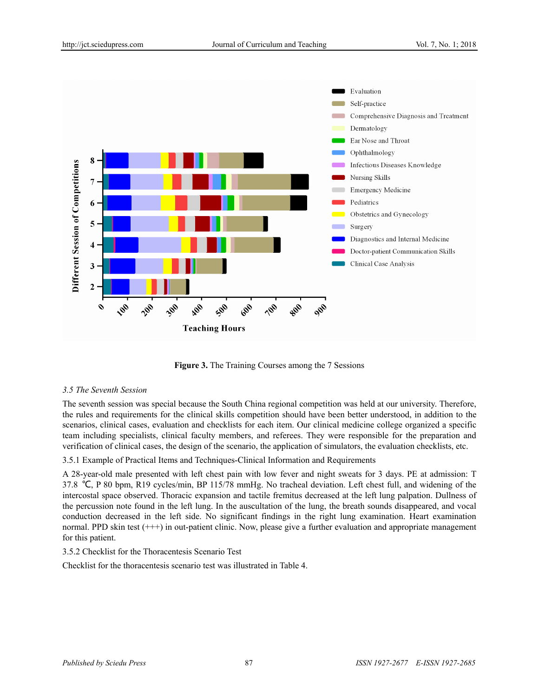

**Figure 3.** The Training Courses among the 7 Sessions

# *3.5 The Seventh Session*

The seventh session was special because the South China regional competition was held at our university. Therefore, the rules and requirements for the clinical skills competition should have been better understood, in addition to the scenarios, clinical cases, evaluation and checklists for each item. Our clinical medicine college organized a specific team including specialists, clinical faculty members, and referees. They were responsible for the preparation and verification of clinical cases, the design of the scenario, the application of simulators, the evaluation checklists, etc.

3.5.1 Example of Practical Items and Techniques-Clinical Information and Requirements

A 28-year-old male presented with left chest pain with low fever and night sweats for 3 days. PE at admission: T 37.8 ℃, P 80 bpm, R19 cycles/min, BP 115/78 mmHg. No tracheal deviation. Left chest full, and widening of the intercostal space observed. Thoracic expansion and tactile fremitus decreased at the left lung palpation. Dullness of the percussion note found in the left lung. In the auscultation of the lung, the breath sounds disappeared, and vocal conduction decreased in the left side. No significant findings in the right lung examination. Heart examination normal. PPD skin test (+++) in out-patient clinic. Now, please give a further evaluation and appropriate management for this patient.

3.5.2 Checklist for the Thoracentesis Scenario Test

Checklist for the thoracentesis scenario test was illustrated in Table 4.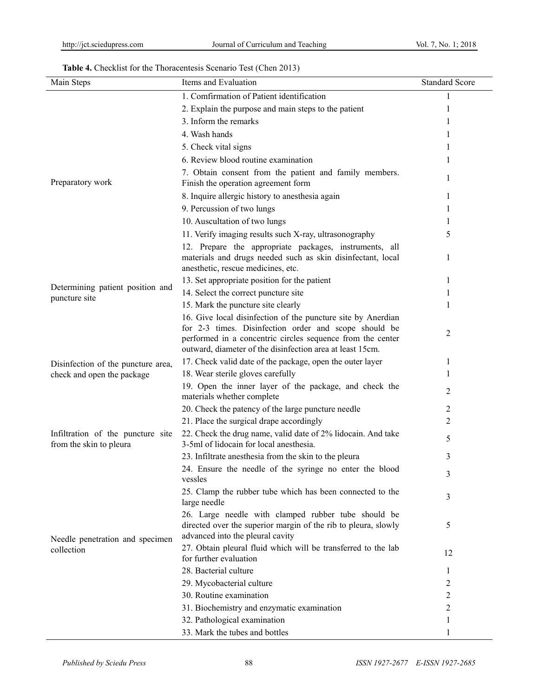# **Table 4.** Checklist for the Thoracentesis Scenario Test (Chen 2013)

| Main Steps                                                   | Items and Evaluation                                                                                                                                                                                                                             | <b>Standard Score</b> |
|--------------------------------------------------------------|--------------------------------------------------------------------------------------------------------------------------------------------------------------------------------------------------------------------------------------------------|-----------------------|
|                                                              | 1. Comfirmation of Patient identification                                                                                                                                                                                                        | $\mathbf{1}$          |
|                                                              | 2. Explain the purpose and main steps to the patient                                                                                                                                                                                             | 1                     |
|                                                              | 3. Inform the remarks                                                                                                                                                                                                                            | 1                     |
|                                                              | 4. Wash hands                                                                                                                                                                                                                                    | L                     |
|                                                              | 5. Check vital signs                                                                                                                                                                                                                             | 1                     |
|                                                              | 6. Review blood routine examination                                                                                                                                                                                                              | 1                     |
| Preparatory work                                             | 7. Obtain consent from the patient and family members.<br>Finish the operation agreement form                                                                                                                                                    | 1                     |
|                                                              | 8. Inquire allergic history to anesthesia again                                                                                                                                                                                                  | 1                     |
|                                                              | 9. Percussion of two lungs                                                                                                                                                                                                                       | Ι.                    |
|                                                              | 10. Auscultation of two lungs                                                                                                                                                                                                                    | 1                     |
|                                                              | 11. Verify imaging results such X-ray, ultrasonography                                                                                                                                                                                           | 5                     |
|                                                              | 12. Prepare the appropriate packages, instruments, all<br>materials and drugs needed such as skin disinfectant, local<br>anesthetic, rescue medicines, etc.                                                                                      | 1                     |
|                                                              | 13. Set appropriate position for the patient                                                                                                                                                                                                     | 1                     |
| Determining patient position and<br>puncture site            | 14. Select the correct puncture site                                                                                                                                                                                                             | 1                     |
|                                                              | 15. Mark the puncture site clearly                                                                                                                                                                                                               | 1                     |
|                                                              | 16. Give local disinfection of the puncture site by Anerdian<br>for 2-3 times. Disinfection order and scope should be<br>performed in a concentric circles sequence from the center<br>outward, diameter of the disinfection area at least 15cm. | $\overline{c}$        |
| Disinfection of the puncture area,                           | 17. Check valid date of the package, open the outer layer                                                                                                                                                                                        | 1                     |
| check and open the package                                   | 18. Wear sterile gloves carefully                                                                                                                                                                                                                | 1                     |
|                                                              | 19. Open the inner layer of the package, and check the<br>materials whether complete                                                                                                                                                             | 2                     |
|                                                              | 20. Check the patency of the large puncture needle                                                                                                                                                                                               | 2                     |
|                                                              | 21. Place the surgical drape accordingly                                                                                                                                                                                                         | 2                     |
| Infiltration of the puncture site<br>from the skin to pleura | 22. Check the drug name, valid date of 2% lidocain. And take<br>3-5ml of lidocain for local anesthesia.                                                                                                                                          | 5                     |
|                                                              | 23. Infiltrate anesthesia from the skin to the pleura                                                                                                                                                                                            | 3                     |
|                                                              | 24. Ensure the needle of the syringe no enter the blood<br>vessles                                                                                                                                                                               | 3                     |
|                                                              | 25. Clamp the rubber tube which has been connected to the<br>large needle                                                                                                                                                                        | 3                     |
| Needle penetration and specimen                              | 26. Large needle with clamped rubber tube should be<br>directed over the superior margin of the rib to pleura, slowly<br>advanced into the pleural cavity                                                                                        | 5                     |
| collection                                                   | 27. Obtain pleural fluid which will be transferred to the lab<br>for further evaluation                                                                                                                                                          | 12                    |
|                                                              | 28. Bacterial culture                                                                                                                                                                                                                            | 1                     |
|                                                              | 29. Mycobacterial culture                                                                                                                                                                                                                        | 2                     |
|                                                              | 30. Routine examination                                                                                                                                                                                                                          | 2                     |
|                                                              | 31. Biochemistry and enzymatic examination                                                                                                                                                                                                       | 2                     |
|                                                              | 32. Pathological examination                                                                                                                                                                                                                     | 1                     |
|                                                              | 33. Mark the tubes and bottles                                                                                                                                                                                                                   | 1                     |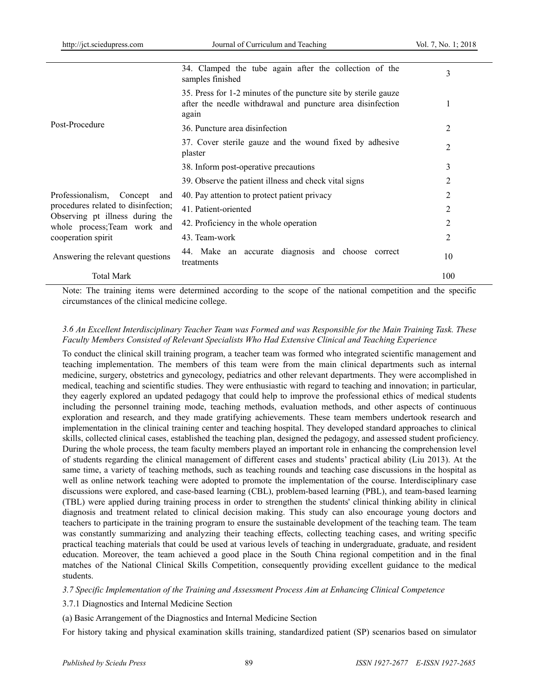|                                                                                                        | 34. Clamped the tube again after the collection of the<br>samples finished                                                             | 3   |
|--------------------------------------------------------------------------------------------------------|----------------------------------------------------------------------------------------------------------------------------------------|-----|
|                                                                                                        | 35. Press for 1-2 minutes of the puncture site by sterile gauze<br>after the needle withdrawal and puncture area disinfection<br>again |     |
| Post-Procedure                                                                                         | 36. Puncture area disinfection                                                                                                         | 2   |
|                                                                                                        | 37. Cover sterile gauze and the wound fixed by adhesive<br>plaster                                                                     | 2   |
|                                                                                                        | 38. Inform post-operative precautions                                                                                                  | 3   |
|                                                                                                        | 39. Observe the patient illness and check vital signs                                                                                  | 2   |
| Professionalism, Concept<br>and                                                                        | 40. Pay attention to protect patient privacy                                                                                           | 2   |
| procedures related to disinfection;<br>Observing pt illness during the<br>whole process; Team work and | 41 Patient-oriented                                                                                                                    | 2   |
|                                                                                                        | 42. Proficiency in the whole operation                                                                                                 | 2   |
| cooperation spirit                                                                                     | 43. Team-work                                                                                                                          | 2   |
| Answering the relevant questions                                                                       | 44. Make an accurate diagnosis and choose correct<br>treatments                                                                        | 10  |
| <b>Total Mark</b>                                                                                      |                                                                                                                                        | 100 |
|                                                                                                        |                                                                                                                                        |     |

Note: The training items were determined according to the scope of the national competition and the specific circumstances of the clinical medicine college.

# *3.6 An Excellent Interdisciplinary Teacher Team was Formed and was Responsible for the Main Training Task. These Faculty Members Consisted of Relevant Specialists Who Had Extensive Clinical and Teaching Experience*

To conduct the clinical skill training program, a teacher team was formed who integrated scientific management and teaching implementation. The members of this team were from the main clinical departments such as internal medicine, surgery, obstetrics and gynecology, pediatrics and other relevant departments. They were accomplished in medical, teaching and scientific studies. They were enthusiastic with regard to teaching and innovation; in particular, they eagerly explored an updated pedagogy that could help to improve the professional ethics of medical students including the personnel training mode, teaching methods, evaluation methods, and other aspects of continuous exploration and research, and they made gratifying achievements. These team members undertook research and implementation in the clinical training center and teaching hospital. They developed standard approaches to clinical skills, collected clinical cases, established the teaching plan, designed the pedagogy, and assessed student proficiency. During the whole process, the team faculty members played an important role in enhancing the comprehension level of students regarding the clinical management of different cases and students' practical ability (Liu 2013). At the same time, a variety of teaching methods, such as teaching rounds and teaching case discussions in the hospital as well as online network teaching were adopted to promote the implementation of the course. Interdisciplinary case discussions were explored, and case-based learning (CBL), problem-based learning (PBL), and team-based learning (TBL) were applied during training process in order to strengthen the students' clinical thinking ability in clinical diagnosis and treatment related to clinical decision making. This study can also encourage young doctors and teachers to participate in the training program to ensure the sustainable development of the teaching team. The team was constantly summarizing and analyzing their teaching effects, collecting teaching cases, and writing specific practical teaching materials that could be used at various levels of teaching in undergraduate, graduate, and resident education. Moreover, the team achieved a good place in the South China regional competition and in the final matches of the National Clinical Skills Competition, consequently providing excellent guidance to the medical students.

*3.7 Specific Implementation of the Training and Assessment Process Aim at Enhancing Clinical Competence* 

3.7.1 Diagnostics and Internal Medicine Section

(a) Basic Arrangement of the Diagnostics and Internal Medicine Section

For history taking and physical examination skills training, standardized patient (SP) scenarios based on simulator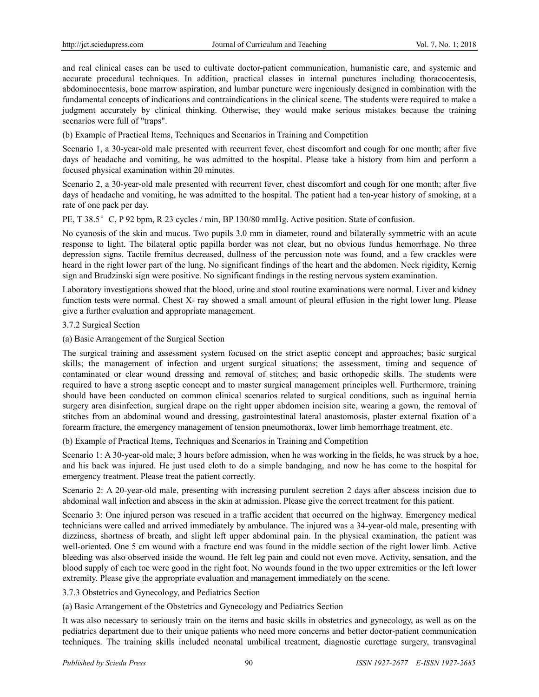and real clinical cases can be used to cultivate doctor-patient communication, humanistic care, and systemic and accurate procedural techniques. In addition, practical classes in internal punctures including thoracocentesis, abdominocentesis, bone marrow aspiration, and lumbar puncture were ingeniously designed in combination with the fundamental concepts of indications and contraindications in the clinical scene. The students were required to make a judgment accurately by clinical thinking. Otherwise, they would make serious mistakes because the training scenarios were full of "traps".

(b) Example of Practical Items, Techniques and Scenarios in Training and Competition

Scenario 1, a 30-year-old male presented with recurrent fever, chest discomfort and cough for one month; after five days of headache and vomiting, he was admitted to the hospital. Please take a history from him and perform a focused physical examination within 20 minutes.

Scenario 2, a 30-year-old male presented with recurrent fever, chest discomfort and cough for one month; after five days of headache and vomiting, he was admitted to the hospital. The patient had a ten-year history of smoking, at a rate of one pack per day.

PE, T 38.5°C, P 92 bpm, R 23 cycles / min, BP 130/80 mmHg. Active position. State of confusion.

No cyanosis of the skin and mucus. Two pupils 3.0 mm in diameter, round and bilaterally symmetric with an acute response to light. The bilateral optic papilla border was not clear, but no obvious fundus hemorrhage. No three depression signs. Tactile fremitus decreased, dullness of the percussion note was found, and a few crackles were heard in the right lower part of the lung. No significant findings of the heart and the abdomen. Neck rigidity, Kernig sign and Brudzinski sign were positive. No significant findings in the resting nervous system examination.

Laboratory investigations showed that the blood, urine and stool routine examinations were normal. Liver and kidney function tests were normal. Chest X- ray showed a small amount of pleural effusion in the right lower lung. Please give a further evaluation and appropriate management.

### 3.7.2 Surgical Section

(a) Basic Arrangement of the Surgical Section

The surgical training and assessment system focused on the strict aseptic concept and approaches; basic surgical skills; the management of infection and urgent surgical situations; the assessment, timing and sequence of contaminated or clear wound dressing and removal of stitches; and basic orthopedic skills. The students were required to have a strong aseptic concept and to master surgical management principles well. Furthermore, training should have been conducted on common clinical scenarios related to surgical conditions, such as inguinal hernia surgery area disinfection, surgical drape on the right upper abdomen incision site, wearing a gown, the removal of stitches from an abdominal wound and dressing, gastrointestinal lateral anastomosis, plaster external fixation of a forearm fracture, the emergency management of tension pneumothorax, lower limb hemorrhage treatment, etc.

(b) Example of Practical Items, Techniques and Scenarios in Training and Competition

Scenario 1: A 30-year-old male; 3 hours before admission, when he was working in the fields, he was struck by a hoe, and his back was injured. He just used cloth to do a simple bandaging, and now he has come to the hospital for emergency treatment. Please treat the patient correctly.

Scenario 2: A 20-year-old male, presenting with increasing purulent secretion 2 days after abscess incision due to abdominal wall infection and abscess in the skin at admission. Please give the correct treatment for this patient.

Scenario 3: One injured person was rescued in a traffic accident that occurred on the highway. Emergency medical technicians were called and arrived immediately by ambulance. The injured was a 34-year-old male, presenting with dizziness, shortness of breath, and slight left upper abdominal pain. In the physical examination, the patient was well-oriented. One 5 cm wound with a fracture end was found in the middle section of the right lower limb. Active bleeding was also observed inside the wound. He felt leg pain and could not even move. Activity, sensation, and the blood supply of each toe were good in the right foot. No wounds found in the two upper extremities or the left lower extremity. Please give the appropriate evaluation and management immediately on the scene.

3.7.3 Obstetrics and Gynecology, and Pediatrics Section

(a) Basic Arrangement of the Obstetrics and Gynecology and Pediatrics Section

It was also necessary to seriously train on the items and basic skills in obstetrics and gynecology, as well as on the pediatrics department due to their unique patients who need more concerns and better doctor-patient communication techniques. The training skills included neonatal umbilical treatment, diagnostic curettage surgery, transvaginal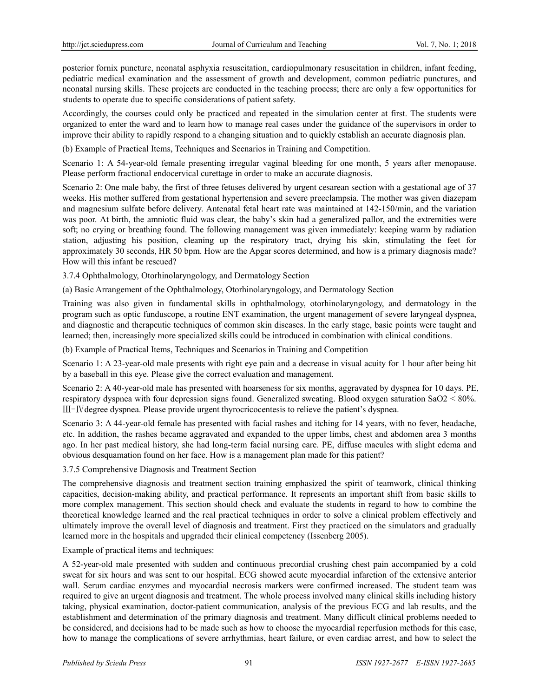posterior fornix puncture, neonatal asphyxia resuscitation, cardiopulmonary resuscitation in children, infant feeding, pediatric medical examination and the assessment of growth and development, common pediatric punctures, and neonatal nursing skills. These projects are conducted in the teaching process; there are only a few opportunities for students to operate due to specific considerations of patient safety.

Accordingly, the courses could only be practiced and repeated in the simulation center at first. The students were organized to enter the ward and to learn how to manage real cases under the guidance of the supervisors in order to improve their ability to rapidly respond to a changing situation and to quickly establish an accurate diagnosis plan.

(b) Example of Practical Items, Techniques and Scenarios in Training and Competition.

Scenario 1: A 54-year-old female presenting irregular vaginal bleeding for one month, 5 years after menopause. Please perform fractional endocervical curettage in order to make an accurate diagnosis.

Scenario 2: One male baby, the first of three fetuses delivered by urgent cesarean section with a gestational age of 37 weeks. His mother suffered from gestational hypertension and severe preeclampsia. The mother was given diazepam and magnesium sulfate before delivery. Antenatal fetal heart rate was maintained at 142-150/min, and the variation was poor. At birth, the amniotic fluid was clear, the baby's skin had a generalized pallor, and the extremities were soft; no crying or breathing found. The following management was given immediately: keeping warm by radiation station, adjusting his position, cleaning up the respiratory tract, drying his skin, stimulating the feet for approximately 30 seconds, HR 50 bpm. How are the Apgar scores determined, and how is a primary diagnosis made? How will this infant be rescued?

3.7.4 Ophthalmology, Otorhinolaryngology, and Dermatology Section

(a) Basic Arrangement of the Ophthalmology, Otorhinolaryngology, and Dermatology Section

Training was also given in fundamental skills in ophthalmology, otorhinolaryngology, and dermatology in the program such as optic funduscope, a routine ENT examination, the urgent management of severe laryngeal dyspnea, and diagnostic and therapeutic techniques of common skin diseases. In the early stage, basic points were taught and learned; then, increasingly more specialized skills could be introduced in combination with clinical conditions.

(b) Example of Practical Items, Techniques and Scenarios in Training and Competition

Scenario 1: A 23-year-old male presents with right eye pain and a decrease in visual acuity for 1 hour after being hit by a baseball in this eye. Please give the correct evaluation and management.

Scenario 2: A 40-year-old male has presented with hoarseness for six months, aggravated by dyspnea for 10 days. PE, respiratory dyspnea with four depression signs found. Generalized sweating. Blood oxygen saturation SaO2 < 80%. Ⅲ-Ⅳdegree dyspnea. Please provide urgent thyrocricocentesis to relieve the patient's dyspnea.

Scenario 3: A 44-year-old female has presented with facial rashes and itching for 14 years, with no fever, headache, etc. In addition, the rashes became aggravated and expanded to the upper limbs, chest and abdomen area 3 months ago. In her past medical history, she had long-term facial nursing care. PE, diffuse macules with slight edema and obvious desquamation found on her face. How is a management plan made for this patient?

3.7.5 Comprehensive Diagnosis and Treatment Section

The comprehensive diagnosis and treatment section training emphasized the spirit of teamwork, clinical thinking capacities, decision-making ability, and practical performance. It represents an important shift from basic skills to more complex management. This section should check and evaluate the students in regard to how to combine the theoretical knowledge learned and the real practical techniques in order to solve a clinical problem effectively and ultimately improve the overall level of diagnosis and treatment. First they practiced on the simulators and gradually learned more in the hospitals and upgraded their clinical competency (Issenberg 2005).

Example of practical items and techniques:

A 52-year-old male presented with sudden and continuous precordial crushing chest pain accompanied by a cold sweat for six hours and was sent to our hospital. ECG showed acute myocardial infarction of the extensive anterior wall. Serum cardiac enzymes and myocardial necrosis markers were confirmed increased. The student team was required to give an urgent diagnosis and treatment. The whole process involved many clinical skills including history taking, physical examination, doctor-patient communication, analysis of the previous ECG and lab results, and the establishment and determination of the primary diagnosis and treatment. Many difficult clinical problems needed to be considered, and decisions had to be made such as how to choose the myocardial reperfusion methods for this case, how to manage the complications of severe arrhythmias, heart failure, or even cardiac arrest, and how to select the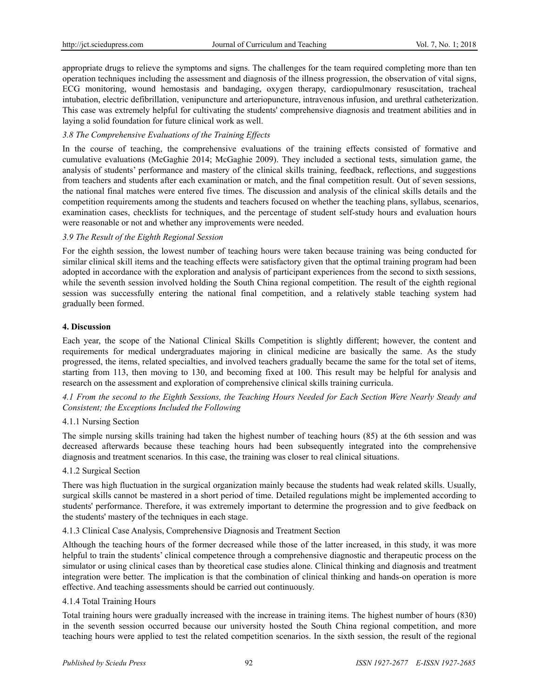appropriate drugs to relieve the symptoms and signs. The challenges for the team required completing more than ten operation techniques including the assessment and diagnosis of the illness progression, the observation of vital signs, ECG monitoring, wound hemostasis and bandaging, oxygen therapy, cardiopulmonary resuscitation, tracheal intubation, electric defibrillation, venipuncture and arteriopuncture, intravenous infusion, and urethral catheterization. This case was extremely helpful for cultivating the students' comprehensive diagnosis and treatment abilities and in laying a solid foundation for future clinical work as well.

# *3.8 The Comprehensive Evaluations of the Training Effects*

In the course of teaching, the comprehensive evaluations of the training effects consisted of formative and cumulative evaluations (McGaghie 2014; McGaghie 2009). They included a sectional tests, simulation game, the analysis of students' performance and mastery of the clinical skills training, feedback, reflections, and suggestions from teachers and students after each examination or match, and the final competition result. Out of seven sessions, the national final matches were entered five times. The discussion and analysis of the clinical skills details and the competition requirements among the students and teachers focused on whether the teaching plans, syllabus, scenarios, examination cases, checklists for techniques, and the percentage of student self-study hours and evaluation hours were reasonable or not and whether any improvements were needed.

# *3.9 The Result of the Eighth Regional Session*

For the eighth session, the lowest number of teaching hours were taken because training was being conducted for similar clinical skill items and the teaching effects were satisfactory given that the optimal training program had been adopted in accordance with the exploration and analysis of participant experiences from the second to sixth sessions, while the seventh session involved holding the South China regional competition. The result of the eighth regional session was successfully entering the national final competition, and a relatively stable teaching system had gradually been formed.

# **4. Discussion**

Each year, the scope of the National Clinical Skills Competition is slightly different; however, the content and requirements for medical undergraduates majoring in clinical medicine are basically the same. As the study progressed, the items, related specialties, and involved teachers gradually became the same for the total set of items, starting from 113, then moving to 130, and becoming fixed at 100. This result may be helpful for analysis and research on the assessment and exploration of comprehensive clinical skills training curricula.

*4.1 From the second to the Eighth Sessions, the Teaching Hours Needed for Each Section Were Nearly Steady and Consistent; the Exceptions Included the Following* 

# 4.1.1 Nursing Section

The simple nursing skills training had taken the highest number of teaching hours (85) at the 6th session and was decreased afterwards because these teaching hours had been subsequently integrated into the comprehensive diagnosis and treatment scenarios. In this case, the training was closer to real clinical situations.

# 4.1.2 Surgical Section

There was high fluctuation in the surgical organization mainly because the students had weak related skills. Usually, surgical skills cannot be mastered in a short period of time. Detailed regulations might be implemented according to students' performance. Therefore, it was extremely important to determine the progression and to give feedback on the students' mastery of the techniques in each stage.

# 4.1.3 Clinical Case Analysis, Comprehensive Diagnosis and Treatment Section

Although the teaching hours of the former decreased while those of the latter increased, in this study, it was more helpful to train the students' clinical competence through a comprehensive diagnostic and therapeutic process on the simulator or using clinical cases than by theoretical case studies alone. Clinical thinking and diagnosis and treatment integration were better. The implication is that the combination of clinical thinking and hands-on operation is more effective. And teaching assessments should be carried out continuously.

# 4.1.4 Total Training Hours

Total training hours were gradually increased with the increase in training items. The highest number of hours (830) in the seventh session occurred because our university hosted the South China regional competition, and more teaching hours were applied to test the related competition scenarios. In the sixth session, the result of the regional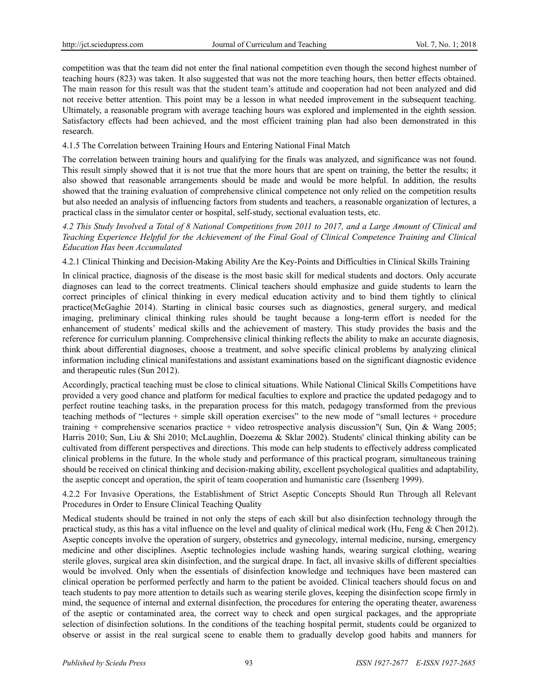competition was that the team did not enter the final national competition even though the second highest number of teaching hours (823) was taken. It also suggested that was not the more teaching hours, then better effects obtained. The main reason for this result was that the student team's attitude and cooperation had not been analyzed and did not receive better attention. This point may be a lesson in what needed improvement in the subsequent teaching. Ultimately, a reasonable program with average teaching hours was explored and implemented in the eighth session. Satisfactory effects had been achieved, and the most efficient training plan had also been demonstrated in this research.

# 4.1.5 The Correlation between Training Hours and Entering National Final Match

The correlation between training hours and qualifying for the finals was analyzed, and significance was not found. This result simply showed that it is not true that the more hours that are spent on training, the better the results; it also showed that reasonable arrangements should be made and would be more helpful. In addition, the results showed that the training evaluation of comprehensive clinical competence not only relied on the competition results but also needed an analysis of influencing factors from students and teachers, a reasonable organization of lectures, a practical class in the simulator center or hospital, self-study, sectional evaluation tests, etc.

# *4.2 This Study Involved a Total of 8 National Competitions from 2011 to 2017, and a Large Amount of Clinical and Teaching Experience Helpful for the Achievement of the Final Goal of Clinical Competence Training and Clinical Education Has been Accumulated*

# 4.2.1 Clinical Thinking and Decision-Making Ability Are the Key-Points and Difficulties in Clinical Skills Training

In clinical practice, diagnosis of the disease is the most basic skill for medical students and doctors. Only accurate diagnoses can lead to the correct treatments. Clinical teachers should emphasize and guide students to learn the correct principles of clinical thinking in every medical education activity and to bind them tightly to clinical practice(McGaghie 2014). Starting in clinical basic courses such as diagnostics, general surgery, and medical imaging, preliminary clinical thinking rules should be taught because a long-term effort is needed for the enhancement of students' medical skills and the achievement of mastery. This study provides the basis and the reference for curriculum planning. Comprehensive clinical thinking reflects the ability to make an accurate diagnosis, think about differential diagnoses, choose a treatment, and solve specific clinical problems by analyzing clinical information including clinical manifestations and assistant examinations based on the significant diagnostic evidence and therapeutic rules (Sun 2012).

Accordingly, practical teaching must be close to clinical situations. While National Clinical Skills Competitions have provided a very good chance and platform for medical faculties to explore and practice the updated pedagogy and to perfect routine teaching tasks, in the preparation process for this match, pedagogy transformed from the previous teaching methods of "lectures + simple skill operation exercises" to the new mode of "small lectures + procedure training + comprehensive scenarios practice + video retrospective analysis discussion"( Sun, Oin & Wang 2005; Harris 2010; Sun, Liu & Shi 2010; McLaughlin, Doezema & Sklar 2002). Students' clinical thinking ability can be cultivated from different perspectives and directions. This mode can help students to effectively address complicated clinical problems in the future. In the whole study and performance of this practical program, simultaneous training should be received on clinical thinking and decision-making ability, excellent psychological qualities and adaptability, the aseptic concept and operation, the spirit of team cooperation and humanistic care (Issenberg 1999).

4.2.2 For Invasive Operations, the Establishment of Strict Aseptic Concepts Should Run Through all Relevant Procedures in Order to Ensure Clinical Teaching Quality

Medical students should be trained in not only the steps of each skill but also disinfection technology through the practical study, as this has a vital influence on the level and quality of clinical medical work (Hu, Feng & Chen 2012). Aseptic concepts involve the operation of surgery, obstetrics and gynecology, internal medicine, nursing, emergency medicine and other disciplines. Aseptic technologies include washing hands, wearing surgical clothing, wearing sterile gloves, surgical area skin disinfection, and the surgical drape. In fact, all invasive skills of different specialties would be involved. Only when the essentials of disinfection knowledge and techniques have been mastered can clinical operation be performed perfectly and harm to the patient be avoided. Clinical teachers should focus on and teach students to pay more attention to details such as wearing sterile gloves, keeping the disinfection scope firmly in mind, the sequence of internal and external disinfection, the procedures for entering the operating theater, awareness of the aseptic or contaminated area, the correct way to check and open surgical packages, and the appropriate selection of disinfection solutions. In the conditions of the teaching hospital permit, students could be organized to observe or assist in the real surgical scene to enable them to gradually develop good habits and manners for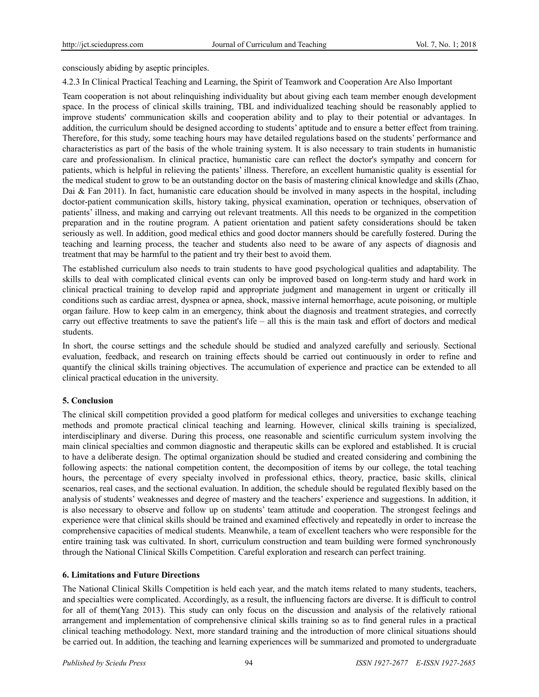consciously abiding by aseptic principles.

4.2.3 In Clinical Practical Teaching and Learning, the Spirit of Teamwork and Cooperation Are Also Important

Team cooperation is not about relinquishing individuality but about giving each team member enough development space. In the process of clinical skills training, TBL and individualized teaching should be reasonably applied to improve students' communication skills and cooperation ability and to play to their potential or advantages. In addition, the curriculum should be designed according to students' aptitude and to ensure a better effect from training. Therefore, for this study, some teaching hours may have detailed regulations based on the students' performance and characteristics as part of the basis of the whole training system. It is also necessary to train students in humanistic care and professionalism. In clinical practice, humanistic care can reflect the doctor's sympathy and concern for patients, which is helpful in relieving the patients' illness. Therefore, an excellent humanistic quality is essential for the medical student to grow to be an outstanding doctor on the basis of mastering clinical knowledge and skills (Zhao, Dai  $\&$  Fan 2011). In fact, humanistic care education should be involved in many aspects in the hospital, including doctor-patient communication skills, history taking, physical examination, operation or techniques, observation of patients' illness, and making and carrying out relevant treatments. All this needs to be organized in the competition preparation and in the routine program. A patient orientation and patient safety considerations should be taken seriously as well. In addition, good medical ethics and good doctor manners should be carefully fostered. During the teaching and learning process, the teacher and students also need to be aware of any aspects of diagnosis and treatment that may be harmful to the patient and try their best to avoid them.

The established curriculum also needs to train students to have good psychological qualities and adaptability. The skills to deal with complicated clinical events can only be improved based on long-term study and hard work in clinical practical training to develop rapid and appropriate judgment and management in urgent or critically ill conditions such as cardiac arrest, dyspnea or apnea, shock, massive internal hemorrhage, acute poisoning, or multiple organ failure. How to keep calm in an emergency, think about the diagnosis and treatment strategies, and correctly carry out effective treatments to save the patient's life – all this is the main task and effort of doctors and medical students.

In short, the course settings and the schedule should be studied and analyzed carefully and seriously. Sectional evaluation, feedback, and research on training effects should be carried out continuously in order to refine and quantify the clinical skills training objectives. The accumulation of experience and practice can be extended to all clinical practical education in the university.

# **5. Conclusion**

The clinical skill competition provided a good platform for medical colleges and universities to exchange teaching methods and promote practical clinical teaching and learning. However, clinical skills training is specialized, interdisciplinary and diverse. During this process, one reasonable and scientific curriculum system involving the main clinical specialties and common diagnostic and therapeutic skills can be explored and established. It is crucial to have a deliberate design. The optimal organization should be studied and created considering and combining the following aspects: the national competition content, the decomposition of items by our college, the total teaching hours, the percentage of every specialty involved in professional ethics, theory, practice, basic skills, clinical scenarios, real cases, and the sectional evaluation. In addition, the schedule should be regulated flexibly based on the analysis of students' weaknesses and degree of mastery and the teachers' experience and suggestions. In addition, it is also necessary to observe and follow up on students' team attitude and cooperation. The strongest feelings and experience were that clinical skills should be trained and examined effectively and repeatedly in order to increase the comprehensive capacities of medical students. Meanwhile, a team of excellent teachers who were responsible for the entire training task was cultivated. In short, curriculum construction and team building were formed synchronously through the National Clinical Skills Competition. Careful exploration and research can perfect training.

# **6. Limitations and Future Directions**

The National Clinical Skills Competition is held each year, and the match items related to many students, teachers, and specialties were complicated. Accordingly, as a result, the influencing factors are diverse. It is difficult to control for all of them(Yang 2013). This study can only focus on the discussion and analysis of the relatively rational arrangement and implementation of comprehensive clinical skills training so as to find general rules in a practical clinical teaching methodology. Next, more standard training and the introduction of more clinical situations should be carried out. In addition, the teaching and learning experiences will be summarized and promoted to undergraduate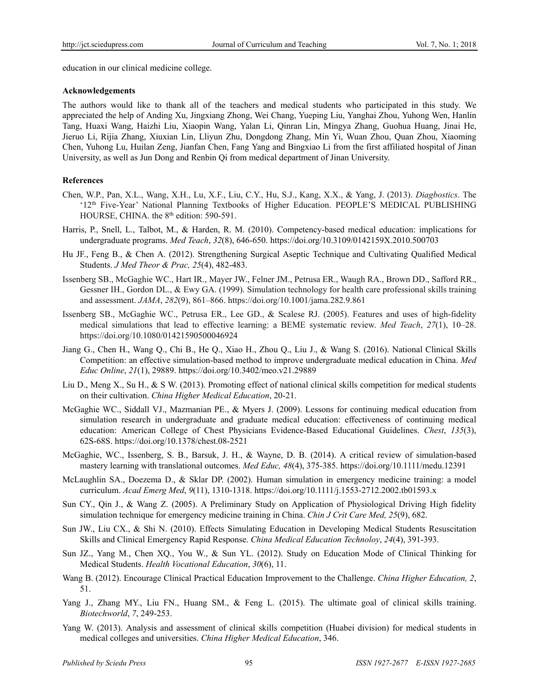education in our clinical medicine college.

#### **Acknowledgements**

The authors would like to thank all of the teachers and medical students who participated in this study. We appreciated the help of Anding Xu, Jingxiang Zhong, Wei Chang, Yueping Liu, Yanghai Zhou, Yuhong Wen, Hanlin Tang, Huaxi Wang, Haizhi Liu, Xiaopin Wang, Yalan Li, Qinran Lin, Mingya Zhang, Guohua Huang, Jinai He, Jieruo Li, Rijia Zhang, Xiuxian Lin, Lliyun Zhu, Dongdong Zhang, Min Yi, Wuan Zhou, Quan Zhou, Xiaoming Chen, Yuhong Lu, Huilan Zeng, Jianfan Chen, Fang Yang and Bingxiao Li from the first affiliated hospital of Jinan University, as well as Jun Dong and Renbin Qi from medical department of Jinan University.

#### **References**

- Chen, W.P., Pan, X.L., Wang, X.H., Lu, X.F., Liu, C.Y., Hu, S.J., Kang, X.X., & Yang, J. (2013). *Diagbostics*. The '12th Five-Year' National Planning Textbooks of Higher Education. PEOPLE'S MEDICAL PUBLISHING HOURSE, CHINA. the 8<sup>th</sup> edition: 590-591.
- Harris, P., Snell, L., Talbot, M., & Harden, R. M. (2010). Competency-based medical education: implications for undergraduate programs. *Med Teach*, *32*(8), 646-650. https://doi.org/10.3109/0142159X.2010.500703
- Hu JF., Feng B., & Chen A. (2012). Strengthening Surgical Aseptic Technique and Cultivating Qualified Medical Students. *J Med Theor & Prac, 25*(4), 482-483.
- Issenberg SB., McGaghie WC., Hart IR., Mayer JW., Felner JM., Petrusa ER., Waugh RA., Brown DD., Safford RR., Gessner IH., Gordon DL., & Ewy GA. (1999). Simulation technology for health care professional skills training and assessment. *JAMA*, *282*(9), 861–866. https://doi.org/10.1001/jama.282.9.861
- Issenberg SB., McGaghie WC., Petrusa ER., Lee GD., & Scalese RJ. (2005). Features and uses of high-fidelity medical simulations that lead to effective learning: a BEME systematic review. *Med Teach*, *27*(1), 10–28. https://doi.org/10.1080/01421590500046924
- Jiang G., Chen H., Wang Q., Chi B., He Q., Xiao H., Zhou Q., Liu J., & Wang S. (2016). National Clinical Skills Competition: an effective simulation-based method to improve undergraduate medical education in China. *Med Educ Online*, *21*(1), 29889. https://doi.org/10.3402/meo.v21.29889
- Liu D., Meng X., Su H., & S W. (2013). Promoting effect of national clinical skills competition for medical students on their cultivation. *China Higher Medical Education*, 20-21.
- McGaghie WC., Siddall VJ., Mazmanian PE., & Myers J. (2009). Lessons for continuing medical education from simulation research in undergraduate and graduate medical education: effectiveness of continuing medical education: American College of Chest Physicians Evidence-Based Educational Guidelines. *Chest*, *135*(3), 62S-68S. https://doi.org/10.1378/chest.08-2521
- McGaghie, WC., Issenberg, S. B., Barsuk, J. H., & Wayne, D. B. (2014). A critical review of simulation-based mastery learning with translational outcomes. *Med Educ, 48*(4), 375-385. https://doi.org/10.1111/medu.12391
- McLaughlin SA., Doezema D., & Sklar DP. (2002). Human simulation in emergency medicine training: a model curriculum. *Acad Emerg Med*, *9*(11), 1310-1318. https://doi.org/10.1111/j.1553-2712.2002.tb01593.x
- Sun CY., Qin J., & Wang Z. (2005). A Preliminary Study on Application of Physiological Driving High fidelity simulation technique for emergency medicine training in China. *Chin J Crit Care Med, 25*(9), 682.
- Sun JW., Liu CX., & Shi N. (2010). Effects Simulating Education in Developing Medical Students Resuscitation Skills and Clinical Emergency Rapid Response. *China Medical Education Technoloy*, *24*(4), 391-393.
- Sun JZ., Yang M., Chen XQ., You W., & Sun YL. (2012). Study on Education Mode of Clinical Thinking for Medical Students. *Health Vocational Education*, *30*(6), 11.
- Wang B. (2012). Encourage Clinical Practical Education Improvement to the Challenge. *China Higher Education, 2*, 51.
- Yang J., Zhang MY., Liu FN., Huang SM., & Feng L. (2015). The ultimate goal of clinical skills training. *Biotechworld*, *7*, 249-253.
- Yang W. (2013). Analysis and assessment of clinical skills competition (Huabei division) for medical students in medical colleges and universities. *China Higher Medical Education*, 346.